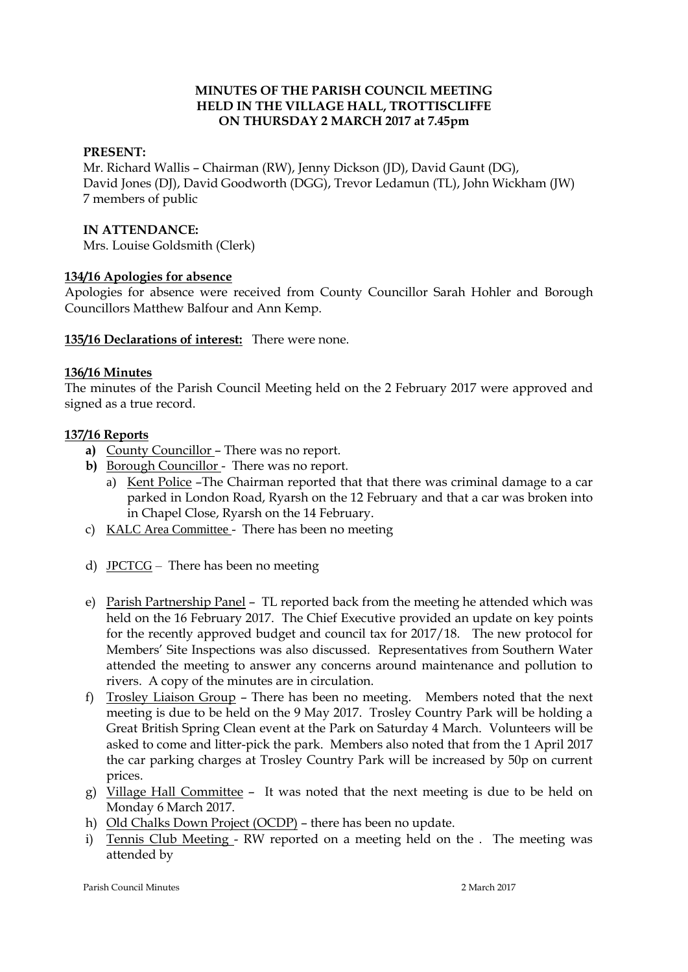### **MINUTES OF THE PARISH COUNCIL MEETING HELD IN THE VILLAGE HALL, TROTTISCLIFFE ON THURSDAY 2 MARCH 2017 at 7.45pm**

### **PRESENT:**

Mr. Richard Wallis – Chairman (RW), Jenny Dickson (JD), David Gaunt (DG), David Jones (DJ), David Goodworth (DGG), Trevor Ledamun (TL), John Wickham (JW) 7 members of public

#### **IN ATTENDANCE:**

Mrs. Louise Goldsmith (Clerk)

### **134/16 Apologies for absence**

Apologies for absence were received from County Councillor Sarah Hohler and Borough Councillors Matthew Balfour and Ann Kemp.

**135/16 Declarations of interest:** There were none.

### **136/16 Minutes**

The minutes of the Parish Council Meeting held on the 2 February 2017 were approved and signed as a true record.

### **137/16 Reports**

- **a)** County Councillor There was no report.
- **b)** Borough Councillor There was no report.
	- a) Kent Police –The Chairman reported that that there was criminal damage to a car parked in London Road, Ryarsh on the 12 February and that a car was broken into in Chapel Close, Ryarsh on the 14 February.
- c) KALC Area Committee There has been no meeting
- d) JPCTCG There has been no meeting
- e) Parish Partnership Panel TL reported back from the meeting he attended which was held on the 16 February 2017. The Chief Executive provided an update on key points for the recently approved budget and council tax for 2017/18. The new protocol for Members' Site Inspections was also discussed. Representatives from Southern Water attended the meeting to answer any concerns around maintenance and pollution to rivers. A copy of the minutes are in circulation.
- f) Trosley Liaison Group There has been no meeting. Members noted that the next meeting is due to be held on the 9 May 2017. Trosley Country Park will be holding a Great British Spring Clean event at the Park on Saturday 4 March. Volunteers will be asked to come and litter-pick the park. Members also noted that from the 1 April 2017 the car parking charges at Trosley Country Park will be increased by 50p on current prices.
- g) Village Hall Committee It was noted that the next meeting is due to be held on Monday 6 March 2017.
- h) Old Chalks Down Project (OCDP) there has been no update.
- i) Tennis Club Meeting RW reported on a meeting held on the . The meeting was attended by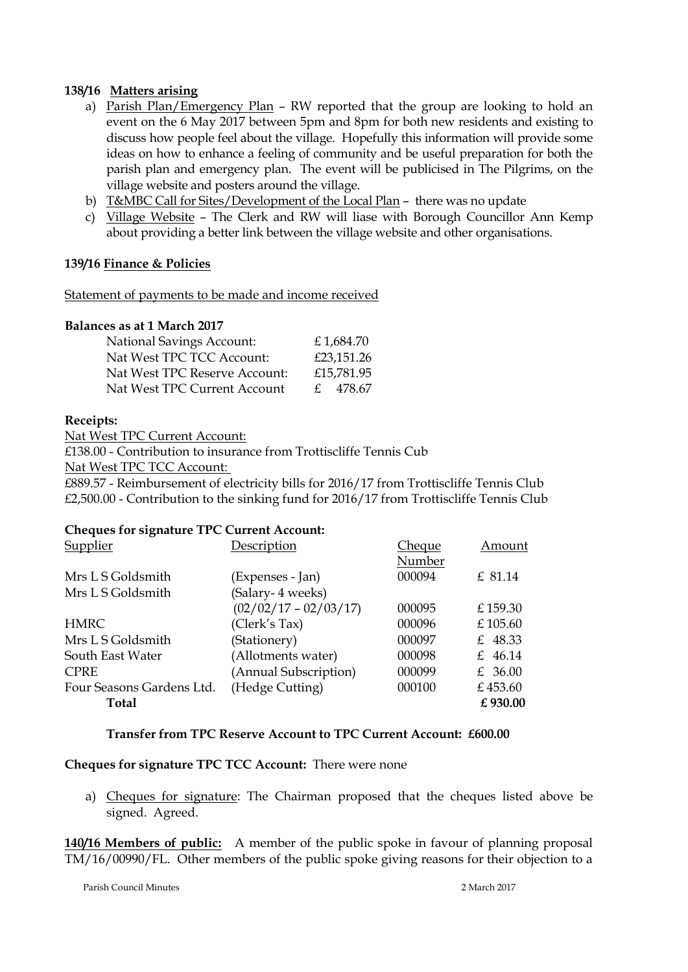### **138/16 Matters arising**

- a) Parish Plan/Emergency Plan RW reported that the group are looking to hold an event on the 6 May 2017 between 5pm and 8pm for both new residents and existing to discuss how people feel about the village. Hopefully this information will provide some ideas on how to enhance a feeling of community and be useful preparation for both the parish plan and emergency plan. The event will be publicised in The Pilgrims, on the village website and posters around the village.
- b) T&MBC Call for Sites/Development of the Local Plan there was no update
- c) Village Website The Clerk and RW will liase with Borough Councillor Ann Kemp about providing a better link between the village website and other organisations.

### **139/16 Finance & Policies**

Statement of payments to be made and income received

### **Balances as at 1 March 2017**

| <b>National Savings Account:</b> | £1,684.70  |
|----------------------------------|------------|
| Nat West TPC TCC Account:        | £23,151.26 |
| Nat West TPC Reserve Account:    | £15,781.95 |
| Nat West TPC Current Account     | £ 478.67   |

#### **Receipts:**

Nat West TPC Current Account:

£138.00 - Contribution to insurance from Trottiscliffe Tennis Cub

Nat West TPC TCC Account:

£889.57 - Reimbursement of electricity bills for 2016/17 from Trottiscliffe Tennis Club £2,500.00 - Contribution to the sinking fund for 2016/17 from Trottiscliffe Tennis Club

### **Cheques for signature TPC Current Account:**

| Supplier<br>Description                      | Cheque | Amount  |
|----------------------------------------------|--------|---------|
|                                              | Number |         |
| Mrs L S Goldsmith<br>(Expenses - Jan)        | 000094 | £ 81.14 |
| (Salary-4 weeks)<br>Mrs L S Goldsmith        |        |         |
| $(02/02/17 - 02/03/17)$                      | 000095 | £159.30 |
| (Clerk's Tax)<br><b>HMRC</b>                 | 000096 | £105.60 |
| Mrs L S Goldsmith<br>(Stationery)            | 000097 | £ 48.33 |
| (Allotments water)<br>South East Water       | 000098 | £ 46.14 |
| (Annual Subscription)<br><b>CPRE</b>         | 000099 | £ 36.00 |
| (Hedge Cutting)<br>Four Seasons Gardens Ltd. | 000100 | £453.60 |
| Total                                        |        | £930.00 |

### **Transfer from TPC Reserve Account to TPC Current Account: £600.00**

### **Cheques for signature TPC TCC Account:** There were none

a) Cheques for signature: The Chairman proposed that the cheques listed above be signed. Agreed.

**140/16 Members of public:** A member of the public spoke in favour of planning proposal TM/16/00990/FL. Other members of the public spoke giving reasons for their objection to a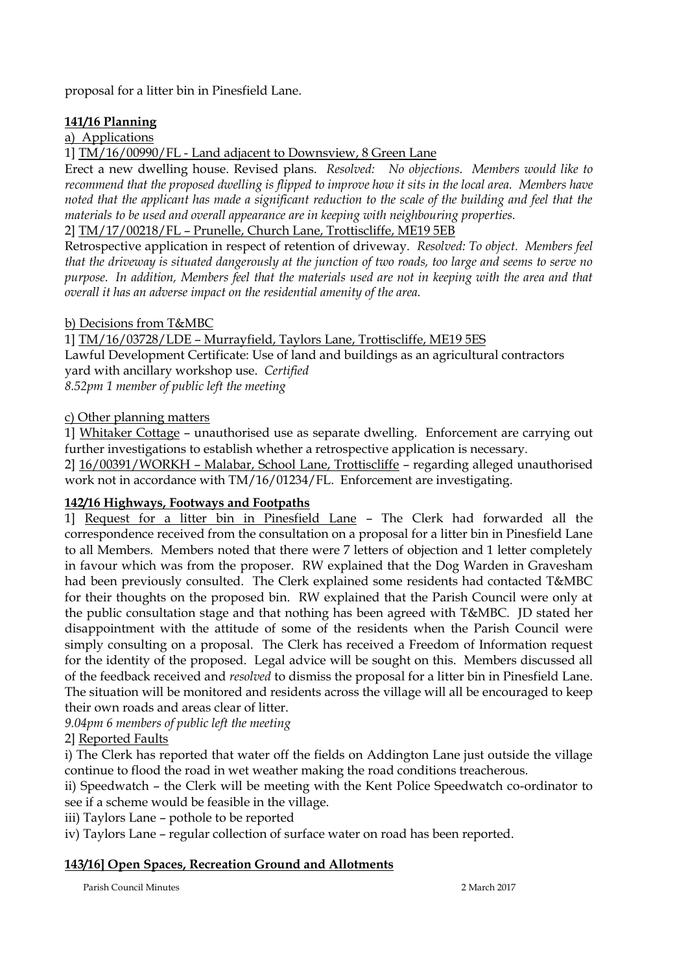proposal for a litter bin in Pinesfield Lane.

# **141/16 Planning**

# a) Applications

1] TM/16/00990/FL - Land adjacent to Downsview, 8 Green Lane

Erect a new dwelling house. Revised plans. *Resolved: No objections. Members would like to recommend that the proposed dwelling is flipped to improve how it sits in the local area. Members have noted that the applicant has made a significant reduction to the scale of the building and feel that the materials to be used and overall appearance are in keeping with neighbouring properties.*

2] TM/17/00218/FL – Prunelle, Church Lane, Trottiscliffe, ME19 5EB

Retrospective application in respect of retention of driveway. *Resolved: To object. Members feel that the driveway is situated dangerously at the junction of two roads, too large and seems to serve no purpose. In addition, Members feel that the materials used are not in keeping with the area and that overall it has an adverse impact on the residential amenity of the area.*

## b) Decisions from T&MBC

1] TM/16/03728/LDE – Murrayfield, Taylors Lane, Trottiscliffe, ME19 5ES Lawful Development Certificate: Use of land and buildings as an agricultural contractors yard with ancillary workshop use. *Certified 8.52pm 1 member of public left the meeting*

## c) Other planning matters

1] Whitaker Cottage – unauthorised use as separate dwelling. Enforcement are carrying out further investigations to establish whether a retrospective application is necessary.

2] 16/00391/WORKH – Malabar, School Lane, Trottiscliffe – regarding alleged unauthorised work not in accordance with TM/16/01234/FL. Enforcement are investigating.

# **142/16 Highways, Footways and Footpaths**

1] Request for a litter bin in Pinesfield Lane – The Clerk had forwarded all the correspondence received from the consultation on a proposal for a litter bin in Pinesfield Lane to all Members. Members noted that there were 7 letters of objection and 1 letter completely in favour which was from the proposer. RW explained that the Dog Warden in Gravesham had been previously consulted. The Clerk explained some residents had contacted T&MBC for their thoughts on the proposed bin. RW explained that the Parish Council were only at the public consultation stage and that nothing has been agreed with T&MBC. JD stated her disappointment with the attitude of some of the residents when the Parish Council were simply consulting on a proposal. The Clerk has received a Freedom of Information request for the identity of the proposed. Legal advice will be sought on this. Members discussed all of the feedback received and *resolved* to dismiss the proposal for a litter bin in Pinesfield Lane. The situation will be monitored and residents across the village will all be encouraged to keep their own roads and areas clear of litter.

*9.04pm 6 members of public left the meeting*

2] Reported Faults

i) The Clerk has reported that water off the fields on Addington Lane just outside the village continue to flood the road in wet weather making the road conditions treacherous.

ii) Speedwatch – the Clerk will be meeting with the Kent Police Speedwatch co-ordinator to see if a scheme would be feasible in the village.

iii) Taylors Lane – pothole to be reported

iv) Taylors Lane – regular collection of surface water on road has been reported.

# **143/16] Open Spaces, Recreation Ground and Allotments**

Parish Council Minutes 2 March 2017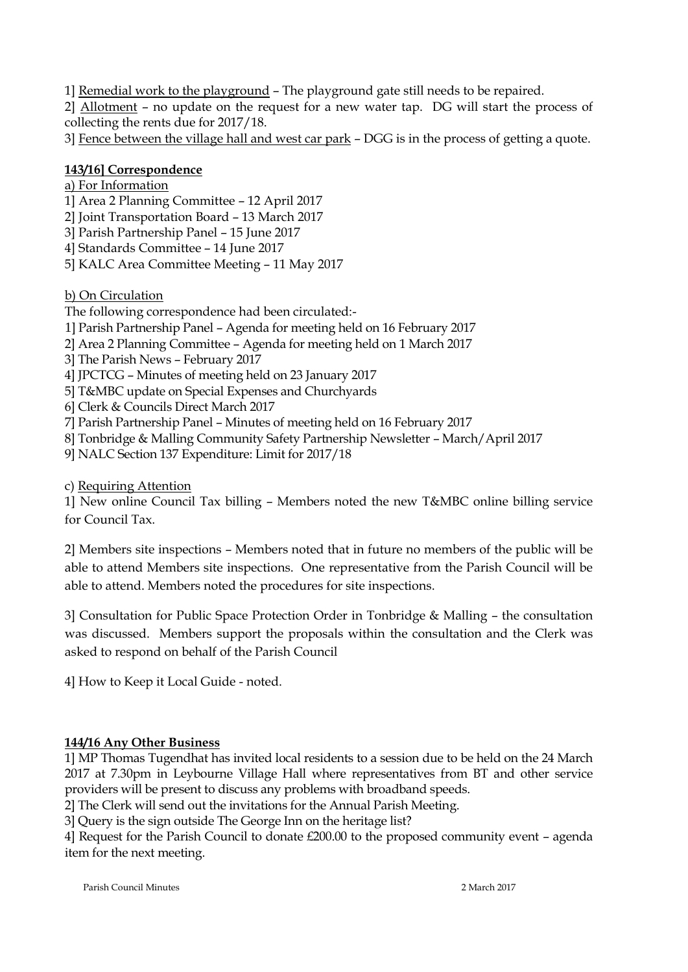1] Remedial work to the playground – The playground gate still needs to be repaired.

2] Allotment – no update on the request for a new water tap. DG will start the process of collecting the rents due for 2017/18.

3] Fence between the village hall and west car park – DGG is in the process of getting a quote.

# **143/16] Correspondence**

- a) For Information
- 1] Area 2 Planning Committee 12 April 2017
- 2] Joint Transportation Board 13 March 2017
- 3] Parish Partnership Panel 15 June 2017
- 4] Standards Committee 14 June 2017
- 5] KALC Area Committee Meeting 11 May 2017

# b) On Circulation

The following correspondence had been circulated:-

- 1] Parish Partnership Panel Agenda for meeting held on 16 February 2017
- 2] Area 2 Planning Committee Agenda for meeting held on 1 March 2017
- 3] The Parish News February 2017
- 4] JPCTCG Minutes of meeting held on 23 January 2017
- 5] T&MBC update on Special Expenses and Churchyards
- 6] Clerk & Councils Direct March 2017
- 7] Parish Partnership Panel Minutes of meeting held on 16 February 2017
- 8] Tonbridge & Malling Community Safety Partnership Newsletter March/April 2017
- 9] NALC Section 137 Expenditure: Limit for 2017/18
- c) Requiring Attention

1] New online Council Tax billing – Members noted the new T&MBC online billing service for Council Tax.

2] Members site inspections – Members noted that in future no members of the public will be able to attend Members site inspections. One representative from the Parish Council will be able to attend. Members noted the procedures for site inspections.

3] Consultation for Public Space Protection Order in Tonbridge & Malling – the consultation was discussed. Members support the proposals within the consultation and the Clerk was asked to respond on behalf of the Parish Council

4] How to Keep it Local Guide - noted.

# **144/16 Any Other Business**

1] MP Thomas Tugendhat has invited local residents to a session due to be held on the 24 March 2017 at 7.30pm in Leybourne Village Hall where representatives from BT and other service providers will be present to discuss any problems with broadband speeds.

2] The Clerk will send out the invitations for the Annual Parish Meeting.

3] Query is the sign outside The George Inn on the heritage list?

4] Request for the Parish Council to donate £200.00 to the proposed community event – agenda item for the next meeting.